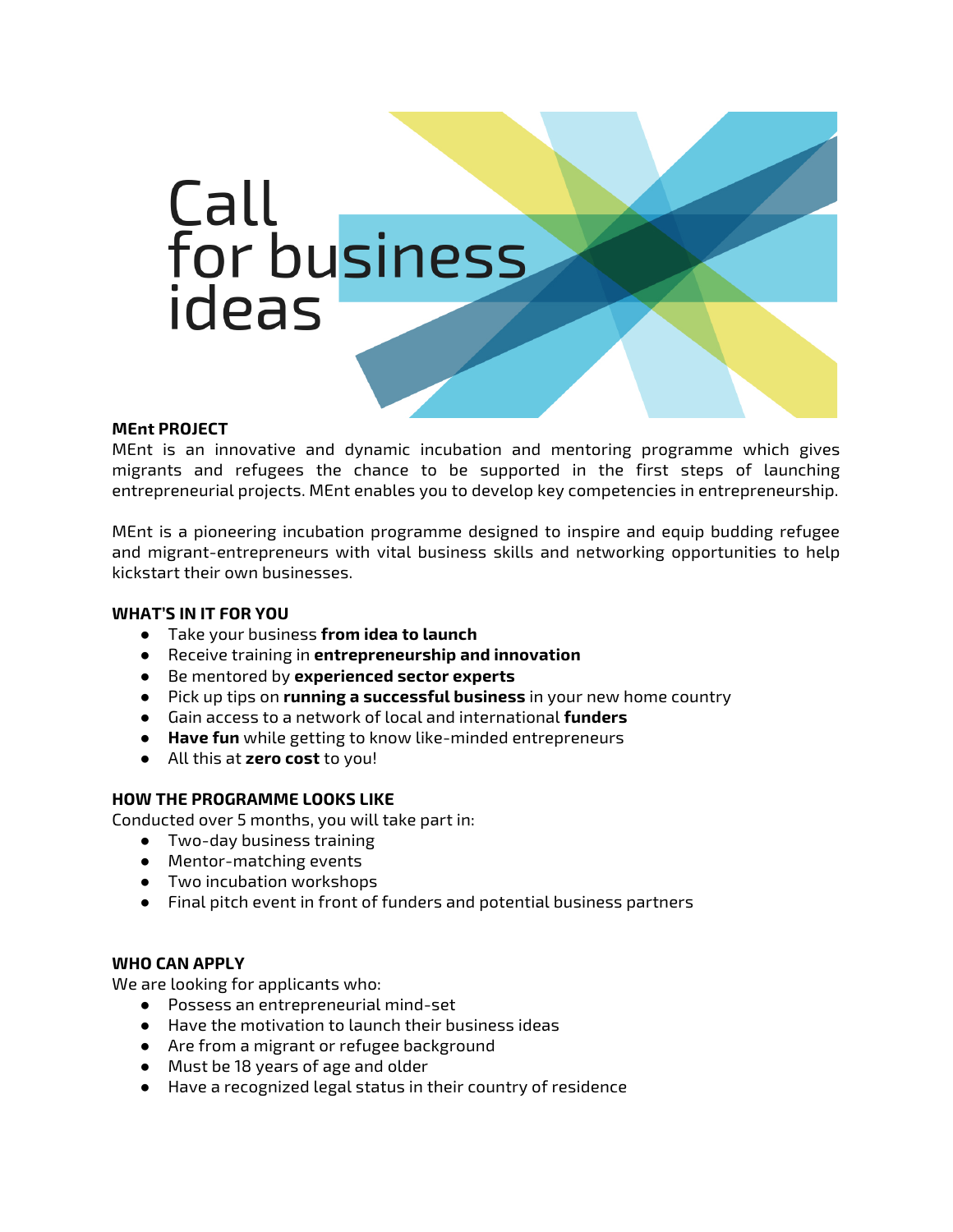

#### **MEnt PROJECT**

MEnt is an innovative and dynamic incubation and mentoring programme which gives migrants and refugees the chance to be supported in the first steps of launching entrepreneurial projects. MEnt enables you to develop key competencies in entrepreneurship.

MEnt is a pioneering incubation programme designed to inspire and equip budding refugee and migrant-entrepreneurs with vital business skills and networking opportunities to help kickstart their own businesses.

#### **WHAT'S IN IT FOR YOU**

- Take your business **from idea to launch**
- Receive training in **entrepreneurship and innovation**
- Be mentored by **experienced sector experts**
- Pick up tips on **running a successful business** in your new home country
- Gain access to a network of local and international **funders**
- **Have fun** while getting to know like-minded entrepreneurs
- All this at **zero cost** to you!

#### **HOW THE PROGRAMME LOOKS LIKE**

Conducted over 5 months, you will take part in:

- Two-day business training
- Mentor-matching events
- Two incubation workshops
- Final pitch event in front of funders and potential business partners

### **WHO CAN APPLY**

We are looking for applicants who:

- Possess an entrepreneurial mind-set
- Have the motivation to launch their business ideas
- Are from a migrant or refugee background
- Must be 18 years of age and older
- Have a recognized legal status in their country of residence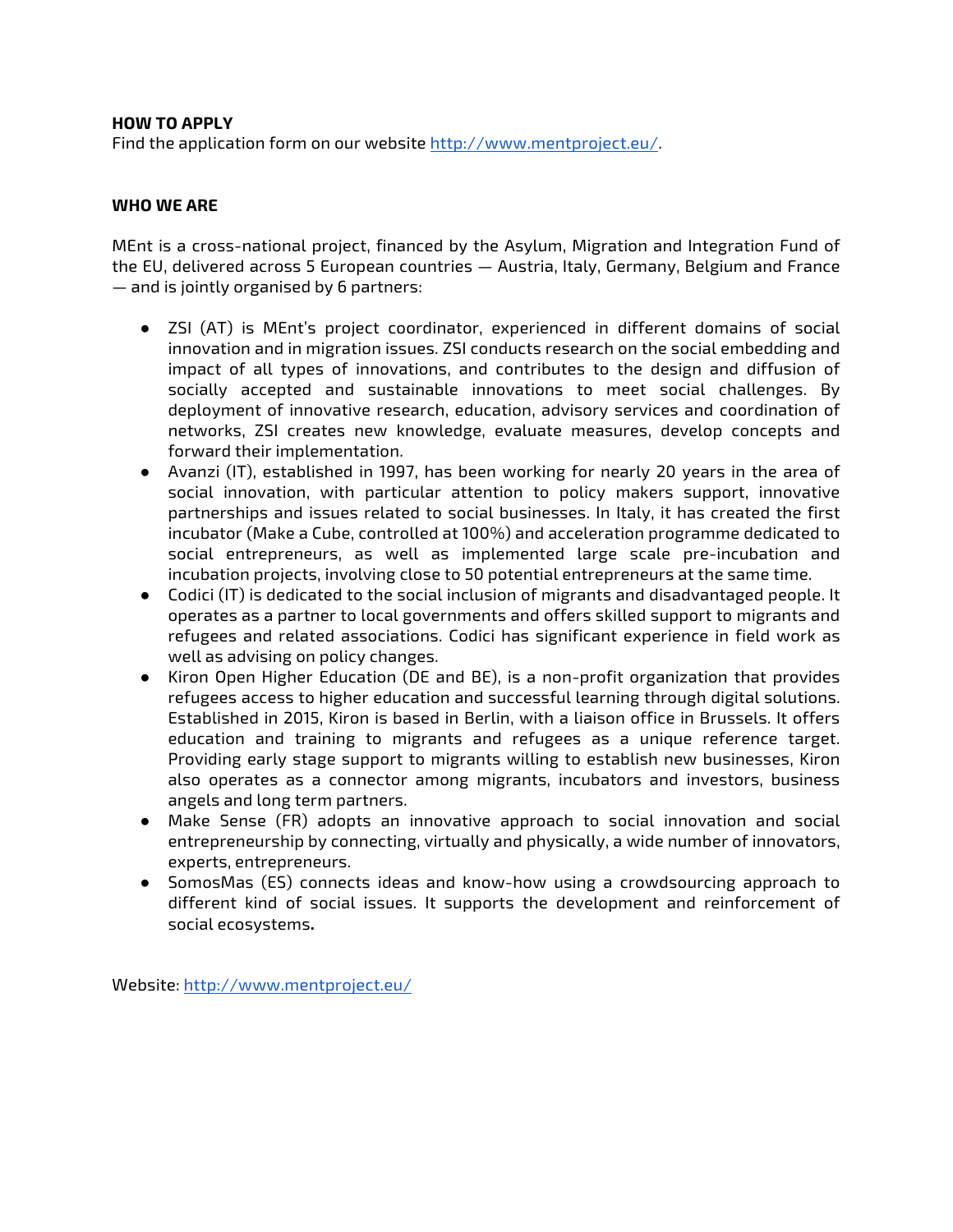#### **HOW TO APPLY**

Find the application form on our website http://www.mentproject.eu/.

#### **WHO WE ARE**

MEnt is a cross-national project, financed by the Asylum, Migration and Integration Fund of the EU, delivered across 5 European countries — Austria, Italy, Germany, Belgium and France — and is jointly organised by 6 partners:

- ZSI (AT) is MEnt's project coordinator, experienced in different domains of social innovation and in migration issues. ZSI conducts research on the social embedding and impact of all types of innovations, and contributes to the design and diffusion of socially accepted and sustainable innovations to meet social challenges. By deployment of innovative research, education, advisory services and coordination of networks, ZSI creates new knowledge, evaluate measures, develop concepts and forward their implementation.
- Avanzi (IT), established in 1997, has been working for nearly 20 years in the area of social innovation, with particular attention to policy makers support, innovative partnerships and issues related to social businesses. In Italy, it has created the first incubator (Make a Cube, controlled at 100%) and acceleration programme dedicated to social entrepreneurs, as well as implemented large scale pre-incubation and incubation projects, involving close to 50 potential entrepreneurs at the same time.
- Codici (IT) is dedicated to the social inclusion of migrants and disadvantaged people. It operates as a partner to local governments and offers skilled support to migrants and refugees and related associations. Codici has significant experience in field work as well as advising on policy changes.
- Kiron Open Higher Education (DE and BE), is a non-profit organization that provides refugees access to higher education and successful learning through digital solutions. Established in 2015, Kiron is based in Berlin, with a liaison office in Brussels. It offers education and training to migrants and refugees as a unique reference target. Providing early stage support to migrants willing to establish new businesses, Kiron also operates as a connector among migrants, incubators and investors, business angels and long term partners.
- Make Sense (FR) adopts an innovative approach to social innovation and social entrepreneurship by connecting, virtually and physically, a wide number of innovators, experts, entrepreneurs.
- SomosMas (ES) connects ideas and know-how using a crowdsourcing approach to different kind of social issues. It supports the development and reinforcement of social ecosystems**.**

Website: http://www.mentproject.eu/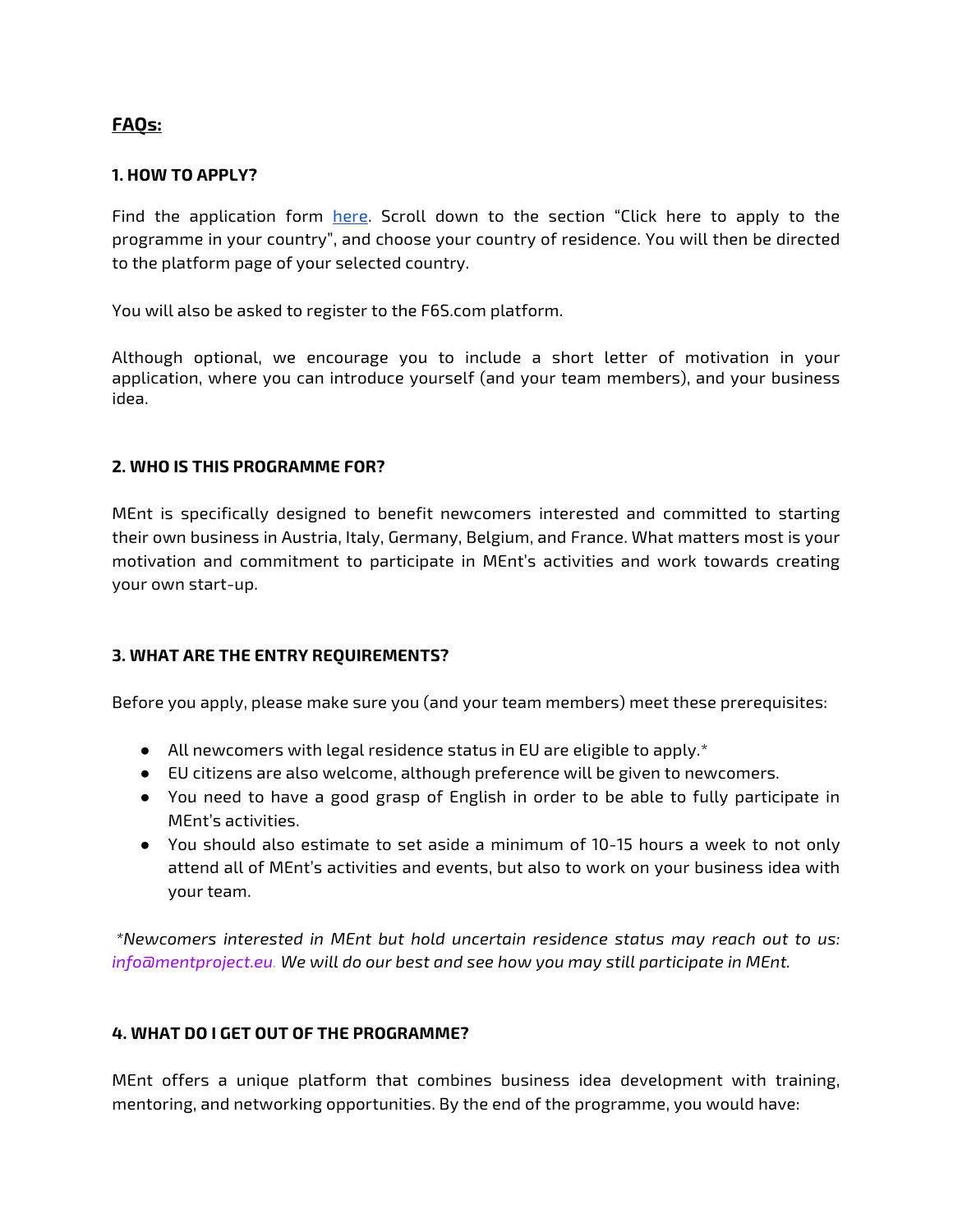# **FAQs:**

#### **1. HOW TO APPLY?**

Find the application form here. Scroll down to the section "Click here to apply to the programme in your country", and choose your country of residence. You will then be directed to the platform page of your selected country.

You will also be asked to register to the F6S.com platform.

Although optional, we encourage you to include a short letter of motivation in your application, where you can introduce yourself (and your team members), and your business idea.

#### **2. WHO IS THIS PROGRAMME FOR?**

MEnt is specifically designed to benefit newcomers interested and committed to starting their own business in Austria, Italy, Germany, Belgium, and France. What matters most is your motivation and commitment to participate in MEnt's activities and work towards creating your own start-up.

### **3. WHAT ARE THE ENTRY REQUIREMENTS?**

Before you apply, please make sure you (and your team members) meet these prerequisites:

- $\bullet$  All newcomers with legal residence status in EU are eligible to apply. $^*$
- EU citizens are also welcome, although preference will be given to newcomers.
- You need to have a good grasp of English in order to be able to fully participate in MEnt's activities.
- You should also estimate to set aside a minimum of 10-15 hours a week to not only attend all of MEnt's activities and events, but also to work on your business idea with your team.

*\*Newcomers interested in MEnt but hold uncertain residence status may reach out to us: info@mentproject.eu. We will do our best and see how you may still participate in MEnt.* 

### **4. WHAT DO I GET OUT OF THE PROGRAMME?**

MEnt offers a unique platform that combines business idea development with training, mentoring, and networking opportunities. By the end of the programme, you would have: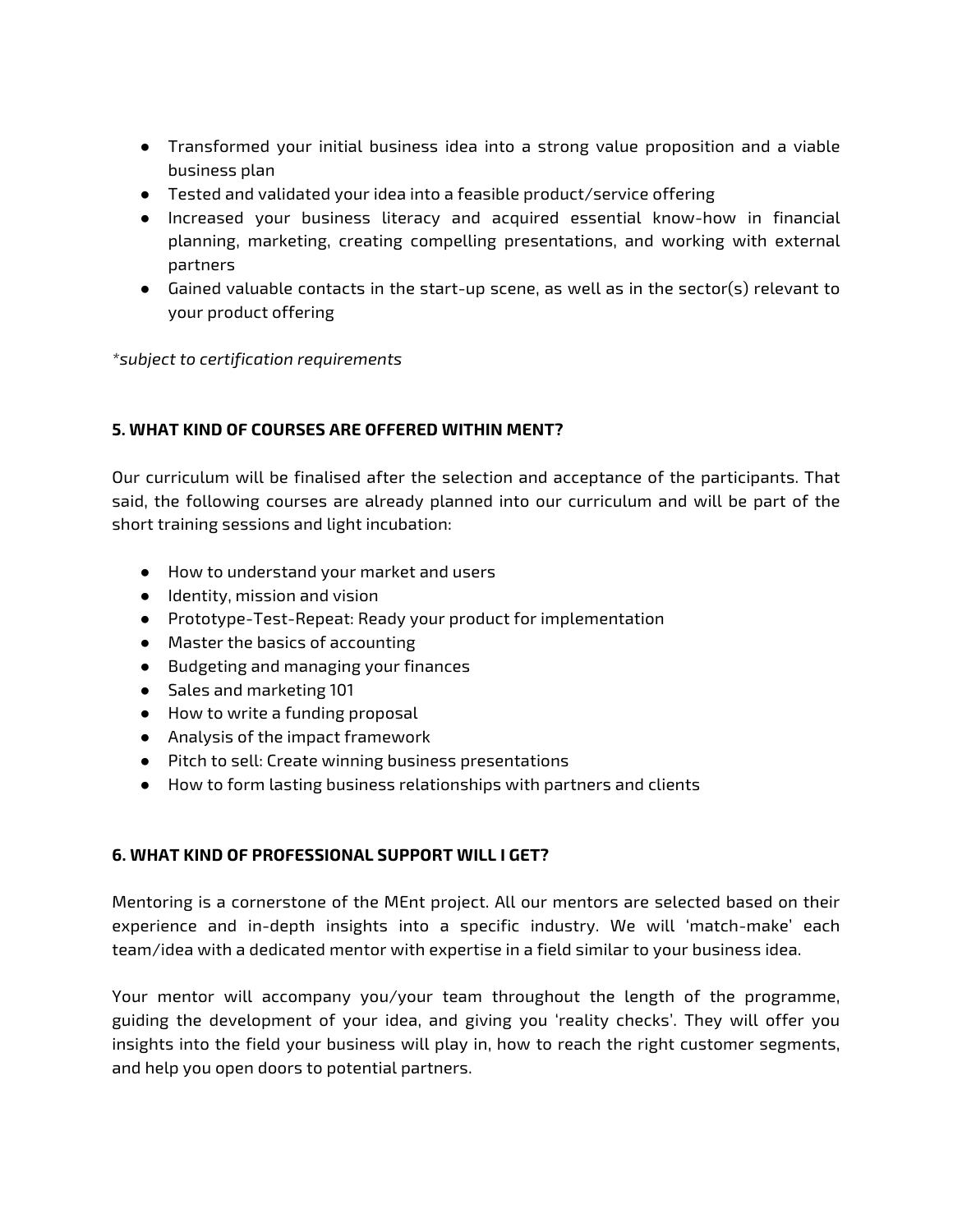- Transformed your initial business idea into a strong value proposition and a viable business plan
- Tested and validated your idea into a feasible product/service offering
- Increased your business literacy and acquired essential know-how in financial planning, marketing, creating compelling presentations, and working with external partners
- Gained valuable contacts in the start-up scene, as well as in the sector(s) relevant to your product offering

*\*subject to certification requirements*

### **5. WHAT KIND OF COURSES ARE OFFERED WITHIN MENT?**

Our curriculum will be finalised after the selection and acceptance of the participants. That said, the following courses are already planned into our curriculum and will be part of the short training sessions and light incubation:

- How to understand your market and users
- Identity, mission and vision
- Prototype-Test-Repeat: Ready your product for implementation
- Master the basics of accounting
- Budgeting and managing your finances
- Sales and marketing 101
- How to write a funding proposal
- Analysis of the impact framework
- Pitch to sell: Create winning business presentations
- How to form lasting business relationships with partners and clients

## **6. WHAT KIND OF PROFESSIONAL SUPPORT WILL I GET?**

Mentoring is a cornerstone of the MEnt project. All our mentors are selected based on their experience and in-depth insights into a specific industry. We will 'match-make' each team/idea with a dedicated mentor with expertise in a field similar to your business idea.

Your mentor will accompany you/your team throughout the length of the programme, guiding the development of your idea, and giving you 'reality checks'. They will offer you insights into the field your business will play in, how to reach the right customer segments, and help you open doors to potential partners.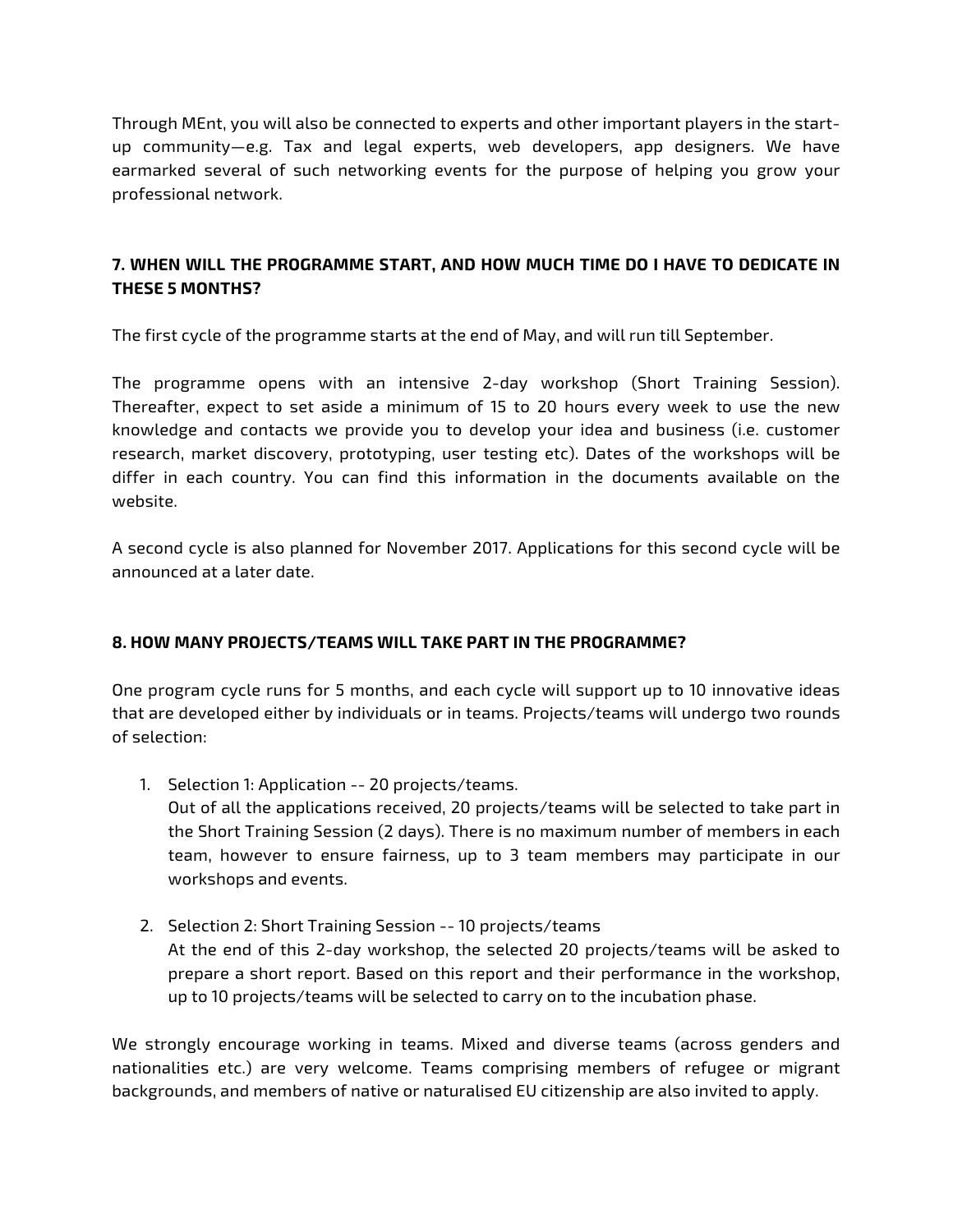Through MEnt, you will also be connected to experts and other important players in the startup community—e.g. Tax and legal experts, web developers, app designers. We have earmarked several of such networking events for the purpose of helping you grow your professional network.

# **7. WHEN WILL THE PROGRAMME START, AND HOW MUCH TIME DO I HAVE TO DEDICATE IN THESE 5 MONTHS?**

The first cycle of the programme starts at the end of May, and will run till September.

The programme opens with an intensive 2-day workshop (Short Training Session). Thereafter, expect to set aside a minimum of 15 to 20 hours every week to use the new knowledge and contacts we provide you to develop your idea and business (i.e. customer research, market discovery, prototyping, user testing etc). Dates of the workshops will be differ in each country. You can find this information in the documents available on the website.

A second cycle is also planned for November 2017. Applications for this second cycle will be announced at a later date.

## **8. HOW MANY PROJECTS/TEAMS WILL TAKE PART IN THE PROGRAMME?**

One program cycle runs for 5 months, and each cycle will support up to 10 innovative ideas that are developed either by individuals or in teams. Projects/teams will undergo two rounds of selection:

- 1. Selection 1: Application -- 20 projects/teams. Out of all the applications received, 20 projects/teams will be selected to take part in the Short Training Session (2 days). There is no maximum number of members in each team, however to ensure fairness, up to 3 team members may participate in our workshops and events.
- 2. Selection 2: Short Training Session -- 10 projects/teams At the end of this 2-day workshop, the selected 20 projects/teams will be asked to prepare a short report. Based on this report and their performance in the workshop, up to 10 projects/teams will be selected to carry on to the incubation phase.

We strongly encourage working in teams. Mixed and diverse teams (across genders and nationalities etc.) are very welcome. Teams comprising members of refugee or migrant backgrounds, and members of native or naturalised EU citizenship are also invited to apply.